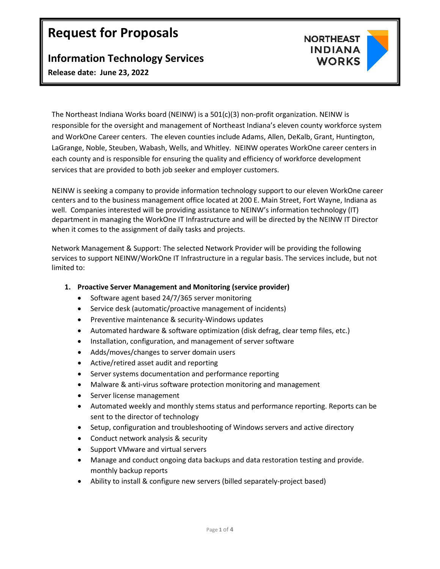# **Request for Proposals**

# **Information Technology Services**

**Release date: June 23, 2022**



The Northeast Indiana Works board (NEINW) is a 501(c)(3) non-profit organization. NEINW is responsible for the oversight and management of Northeast Indiana's eleven county workforce system and WorkOne Career centers. The eleven counties include Adams, Allen, DeKalb, Grant, Huntington, LaGrange, Noble, Steuben, Wabash, Wells, and Whitley. NEINW operates WorkOne career centers in each county and is responsible for ensuring the quality and efficiency of workforce development services that are provided to both job seeker and employer customers.

NEINW is seeking a company to provide information technology support to our eleven WorkOne career centers and to the business management office located at 200 E. Main Street, Fort Wayne, Indiana as well. Companies interested will be providing assistance to NEINW's information technology (IT) department in managing the WorkOne IT Infrastructure and will be directed by the NEINW IT Director when it comes to the assignment of daily tasks and projects.

Network Management & Support: The selected Network Provider will be providing the following services to support NEINW/WorkOne IT Infrastructure in a regular basis. The services include, but not limited to:

# **1. Proactive Server Management and Monitoring (service provider)**

- Software agent based 24/7/365 server monitoring
- Service desk (automatic/proactive management of incidents)
- Preventive maintenance & security-Windows updates
- Automated hardware & software optimization (disk defrag, clear temp files, etc.)
- Installation, configuration, and management of server software
- Adds/moves/changes to server domain users
- Active/retired asset audit and reporting
- Server systems documentation and performance reporting
- Malware & anti-virus software protection monitoring and management
- Server license management
- Automated weekly and monthly stems status and performance reporting. Reports can be sent to the director of technology
- Setup, configuration and troubleshooting of Windows servers and active directory
- Conduct network analysis & security
- Support VMware and virtual servers
- Manage and conduct ongoing data backups and data restoration testing and provide. monthly backup reports
- Ability to install & configure new servers (billed separately-project based)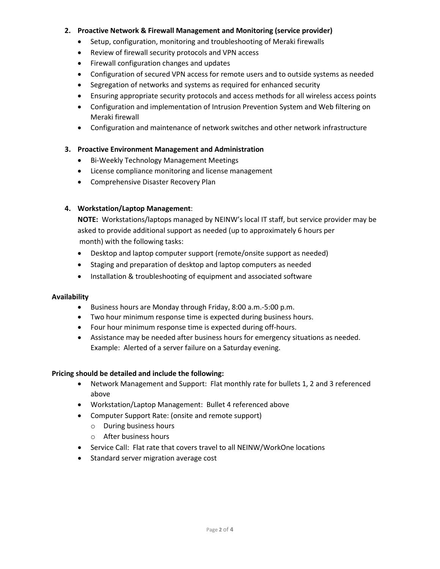# **2. Proactive Network & Firewall Management and Monitoring (service provider)**

- Setup, configuration, monitoring and troubleshooting of Meraki firewalls
- Review of firewall security protocols and VPN access
- Firewall configuration changes and updates
- Configuration of secured VPN access for remote users and to outside systems as needed
- Segregation of networks and systems as required for enhanced security
- Ensuring appropriate security protocols and access methods for all wireless access points
- Configuration and implementation of Intrusion Prevention System and Web filtering on Meraki firewall
- Configuration and maintenance of network switches and other network infrastructure

# **3. Proactive Environment Management and Administration**

- Bi-Weekly Technology Management Meetings
- License compliance monitoring and license management
- Comprehensive Disaster Recovery Plan

# **4. Workstation/Laptop Management**:

**NOTE:** Workstations/laptops managed by NEINW's local IT staff, but service provider may be asked to provide additional support as needed (up to approximately 6 hours per month) with the following tasks:

- Desktop and laptop computer support (remote/onsite support as needed)
- Staging and preparation of desktop and laptop computers as needed
- Installation & troubleshooting of equipment and associated software

# **Availability**

- Business hours are Monday through Friday, 8:00 a.m.-5:00 p.m.
- Two hour minimum response time is expected during business hours.
- Four hour minimum response time is expected during off-hours.
- Assistance may be needed after business hours for emergency situations as needed. Example: Alerted of a server failure on a Saturday evening.

# **Pricing should be detailed and include the following:**

- Network Management and Support: Flat monthly rate for bullets 1, 2 and 3 referenced above
- Workstation/Laptop Management: Bullet 4 referenced above
- Computer Support Rate: (onsite and remote support)
	- o During business hours
	- o After business hours
- Service Call: Flat rate that covers travel to all NEINW/WorkOne locations
- Standard server migration average cost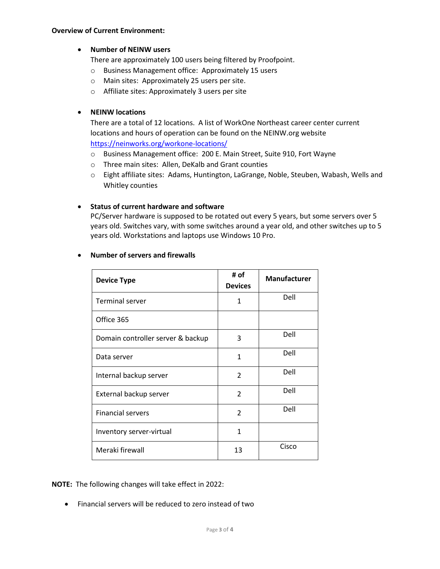#### **Overview of Current Environment:**

#### • **Number of NEINW users**

There are approximately 100 users being filtered by Proofpoint.

- o Business Management office: Approximately 15 users
- o Main sites: Approximately 25 users per site.
- o Affiliate sites: Approximately 3 users per site

# • **NEINW locations**

There are a total of 12 locations. A list of WorkOne Northeast career center current locations and hours of operation can be found on the NEINW.org website <https://neinworks.org/workone-locations/>

- o Business Management office: 200 E. Main Street, Suite 910, Fort Wayne
- o Three main sites: Allen, DeKalb and Grant counties
- o Eight affiliate sites: Adams, Huntington, LaGrange, Noble, Steuben, Wabash, Wells and Whitley counties

# • **Status of current hardware and software**

PC/Server hardware is supposed to be rotated out every 5 years, but some servers over 5 years old. Switches vary, with some switches around a year old, and other switches up to 5 years old. Workstations and laptops use Windows 10 Pro.

| <b>Device Type</b>                | # of<br><b>Devices</b> | Manufacturer |
|-----------------------------------|------------------------|--------------|
| <b>Terminal server</b>            | $\mathbf{1}$           | Dell         |
| Office 365                        |                        |              |
| Domain controller server & backup | 3                      | Dell         |
| Data server                       | $\mathbf{1}$           | Dell         |
| Internal backup server            | $\mathfrak{p}$         | Dell         |
| External backup server            | $\mathfrak{p}$         | Dell         |
| <b>Financial servers</b>          | 2                      | Dell         |
| Inventory server-virtual          | $\mathbf{1}$           |              |
| Meraki firewall                   | 13                     | Cisco        |

#### • **Number of servers and firewalls**

**NOTE:** The following changes will take effect in 2022:

• Financial servers will be reduced to zero instead of two